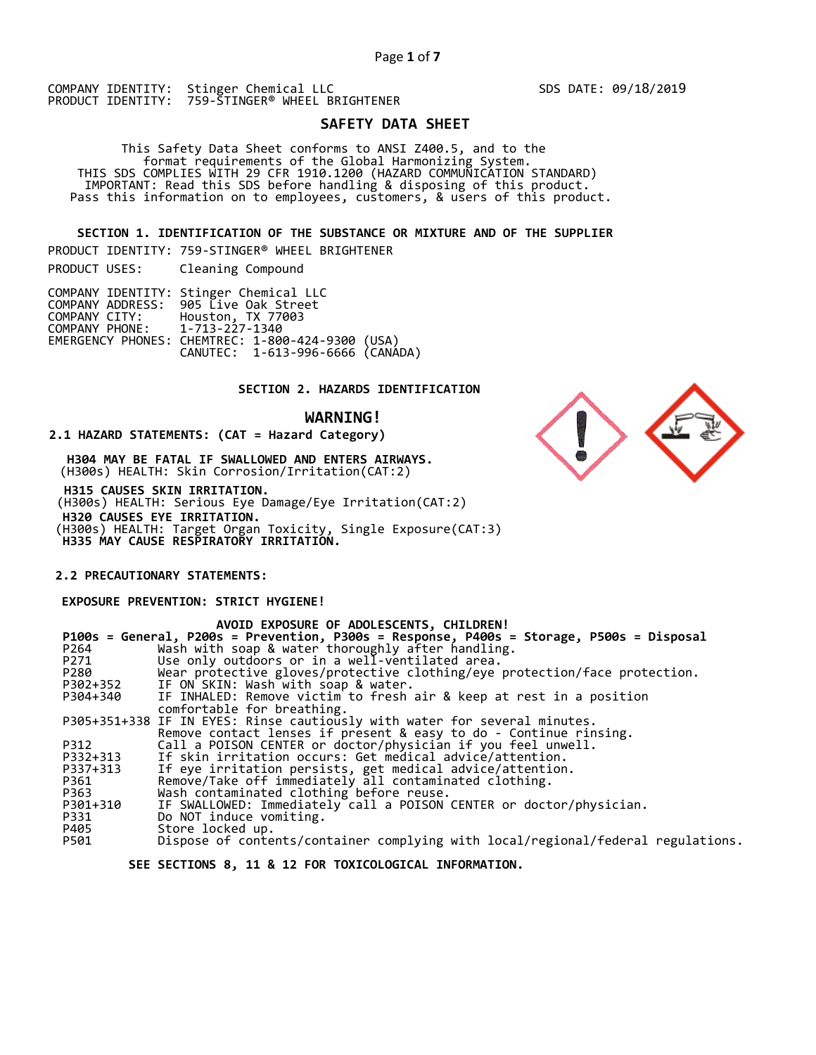COMPANY IDENTITY: Stinger Chemical LLC PRODUCT IDENTITY: 759-STINGER® WHEEL BRIGHTENER

# **SAFETY DATA SHEET**

This Safety Data Sheet conforms to ANSI Z400.5, and to the<br>format requirements of the Global Harmonizing System.<br>THIS SDS COMPLIES WITH 29 CFR 1910.1200 (HAZARD COMMUNICATION STANDARD)<br>IMPORTANT: Read this SDS before handl

 **SECTION 1. IDENTIFICATION OF THE SUBSTANCE OR MIXTURE AND OF THE SUPPLIER** 

PRODUCT IDENTITY: 759-STINGER® WHEEL BRIGHTENER

PRODUCT USES: Cleaning Compound

|                               | COMPANY IDENTITY: Stinger Chemical LLC           |  |
|-------------------------------|--------------------------------------------------|--|
|                               | COMPANY ADDRESS: 905 Live Oak Street             |  |
|                               | COMPANY CITY: Houston, TX 77003                  |  |
| COMPANY PHONE: 1-713-227-1340 |                                                  |  |
|                               | EMERGENCY PHONES: CHEMTREC: 1-800-424-9300 (USA) |  |
|                               | CANUTEC: 1-613-996-6666 (CANÁDA)                 |  |

# **SECTION 2. HAZARDS IDENTIFICATION**

# **WARNING!**

## **2.1 HAZARD STATEMENTS: (CAT = Hazard Category)**

 **H304 MAY BE FATAL IF SWALLOWED AND ENTERS AIRWAYS.**  (H300s) HEALTH: Skin Corrosion/Irritation(CAT:2)

 **H315 CAUSES SKIN IRRITATION.**  (H300s) HEALTH: Serious Eye Damage/Eye Irritation(CAT:2)  **H320 CAUSES EYE IRRITATION.**  (H300s) HEALTH: Target Organ Toxicity, Single Exposure(CAT:3) **H335 MAY CAUSE RESPIRATORY IRRITATION.** 

# **2.2 PRECAUTIONARY STATEMENTS:**

 **EXPOSURE PREVENTION: STRICT HYGIENE!** 

|          | AVOID EXPOSURE OF ADOLESCENTS, CHILDREN!                                                 |
|----------|------------------------------------------------------------------------------------------|
|          | P100s = General, P200s = Prevention, P300s = Response, P400s = Storage, P500s = Disposal |
| P264     | Wash with soap & water thoroughly after handling.                                        |
| P271     | Use only outdoors or in a well-ventilated area.                                          |
| P280     | Wear protective gloves/protective clothing/eye protection/face protection.               |
| P302+352 | IF ON SKIN: Wash with soap & water.                                                      |
| P304+340 | IF INHALED: Remove victim to fresh air & keep at rest in a position                      |
|          | comfortable for breathing.                                                               |
|          | P305+351+338 IF IN EYES: Rinse cautiously with water for several minutes.                |
|          | Remove contact lenses if present & easy to do - Continue rinsing.                        |
| P312     | Call a POISON CENTER or doctor/physician if you feel unwell.                             |
| P332+313 | If skin irritation occurs: Get medical advice/attention.                                 |
| P337+313 | If eye irritation persists, get medical advice/attention.                                |
| P361     | Remove/Take off immediately all contaminated clothing.                                   |
| P363     | Wash contaminated clothing before reuse.                                                 |
| P301+310 | IF SWALLOWED: Immediately call a POISON CENTER or doctor/physician.                      |
| P331     | Do NOT induce vomiting.                                                                  |
| P405     | Store locked up.                                                                         |
| P501     | Dispose of contents/container complying with local/regional/federal regulations.         |
|          |                                                                                          |

 **SEE SECTIONS 8, 11 & 12 FOR TOXICOLOGICAL INFORMATION.** 



SDS DATE: 09/18/2019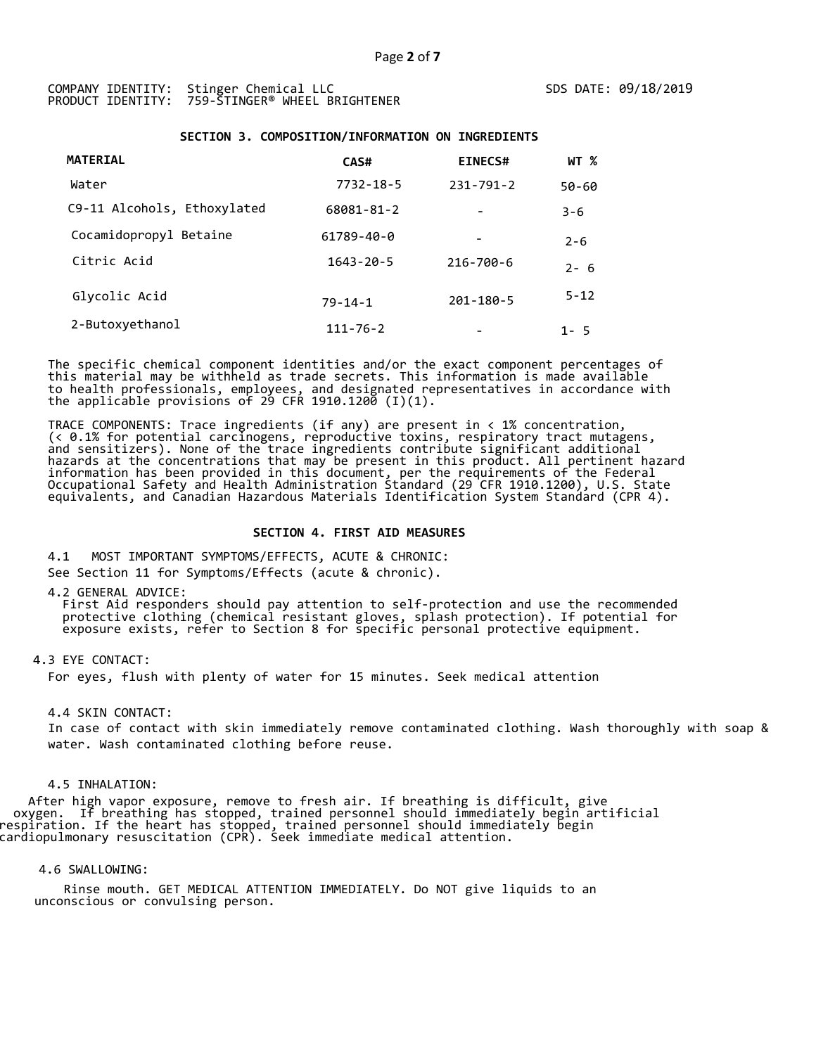# **SECTION 3. COMPOSITION/INFORMATION ON INGREDIENTS**

| <b>MATERIAL</b>             | CAS#             | <b>EINECS#</b>           | WT %     |
|-----------------------------|------------------|--------------------------|----------|
| Water                       | $7732 - 18 - 5$  | $231 - 791 - 2$          | 50-60    |
| C9-11 Alcohols, Ethoxylated | 68081-81-2       |                          | $3 - 6$  |
| Cocamidopropyl Betaine      | $61789 - 40 - 0$ | $\overline{\phantom{a}}$ | $2 - 6$  |
| Citric Acid                 | $1643 - 20 - 5$  | 216-700-6                | $2 - 6$  |
| Glycolic Acid               | $79 - 14 - 1$    | $201 - 180 - 5$          | $5 - 12$ |
| 2-Butoxyethanol             | $111 - 76 - 2$   |                          | $1 - 5$  |

The specific chemical component identities and/or the exact component percentages of this material may be withheld as trade secrets. This information is made available to health professionals, employees, and designated representatives in accordance with the applicable provisions of 29 CFR 1910.1200  $(I)(1)$ .

TRACE COMPONENTS: Trace ingredients (if any) are present in < 1% concentration, (< 0.1% for potential carcinogens, reproductive toxins, respiratory tract mutagens,<br>and sensitizers). None of the trace ingredients contribute significant additional hazards at the concentrations that may be present in this product. All pertinent hazard information has been provided in this document, per the requirements of the Federal Occupational Safety and Health Administration Standard (29 CFR 1910.1200), U.S. State equivalents, and Canadian Hazardous Materials Identification System Standard (CPR 4).

# **SECTION 4. FIRST AID MEASURES**

4.1 MOST IMPORTANT SYMPTOMS/EFFECTS, ACUTE & CHRONIC:

See Section 11 for Symptoms/Effects (acute & chronic).

4.2 GENERAL ADVICE:

E dinition coviders should pay attention to self-protection and use the recommended<br>protective clothing (chemical resistant gloves, splash protection). If potential for<br>exposure exists, refer to Section 8 for specific pers

# 4.3 EYE CONTACT:

For eyes, flush with plenty of water for 15 minutes. Seek medical attention

4.4 SKIN CONTACT:

In case of contact with skin immediately remove contaminated clothing. Wash thoroughly with soap & water. Wash contaminated clothing before reuse.

## 4.5 INHALATION:

 After high vapor exposure, remove to fresh air. If breathing is difficult, give oxygen. If breathing has stopped, trained personnel should immediately begin artificial respiration. If the heart has stopped, trained personnel should immediately begin cardiopulmonary resuscitation (CPR). Seek immediate medical attention.

## 4.6 SWALLOWING:

 Rinse mouth. GET MEDICAL ATTENTION IMMEDIATELY. Do NOT give liquids to an unconscious or convulsing person.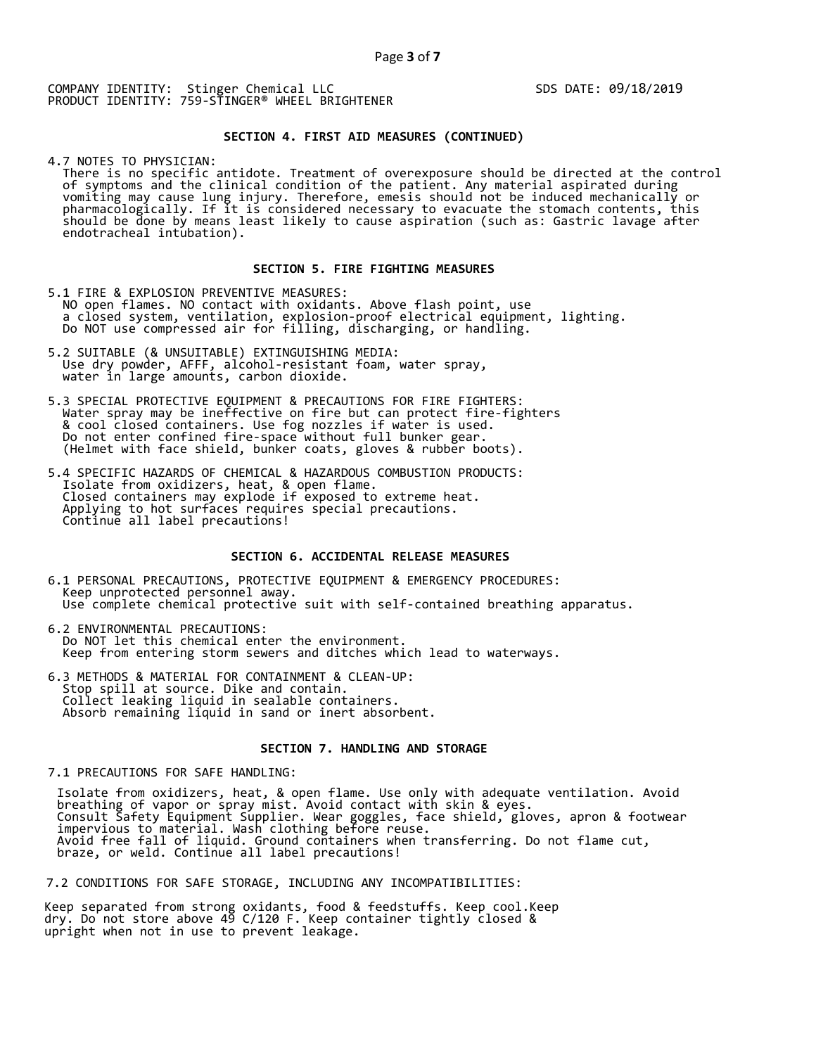COMPANY IDENTITY: Stinger Chemical LLC PRODUCT IDENTITY: 759-STINGER® WHEEL BRIGHTENER SDS DATE: 09/18/2019

# **SECTION 4. FIRST AID MEASURES (CONTINUED)**

4.7 NOTES TO PHYSICIAN:<br>There is no specific antidote. Treatment of overexposure should be directed at the control of symptoms and the clinical condition of the patient. Any material aspirated during<br>vomiting may cause lung injury. Therefore, emesis should not be induced mechanically or<br>pharmacologically. If it is considered necessary

# **SECTION 5. FIRE FIGHTING MEASURES**

5.1 FIRE & EXPLOSION PREVENTIVE MEASURES:<br>NO open flames. NO contact with oxidants. Above flash point, use A closed system, ventilation, explosion-proof electrical equipment, lighting.<br>Do NOT use compressed air for filling, discharging, or handling.

- 5.2 SUITABLE (& UNSUITABLE) EXTINGUISHING MEDIA: Use dry powder, AFFF, alcohol-resistant foam, water spray, water in large amounts, carbon dioxide.
- 5.3 SPECIAL PROTECTIVE EQUIPMENT & PRECAUTIONS FOR FIRE FIGHTERS:<br>Water spray may be ineffective on fire but can protect fire-fighters<br>& cool closed containers. Use fog nozzles if water is used.<br>Do not enter confined fire-
- 5.4 SPECIFIC HAZARDS OF CHEMICAL & HAZARDOUS COMBUSTION PRODUCTS:<br>Isolate from oxidizers, heat, & open flame.<br>Closed containers may explode if exposed to extreme heat.<br>Applying to hot surfaces requires special precautions.

# **SECTION 6. ACCIDENTAL RELEASE MEASURES**

- 6.1 PERSONAL PRECAUTIONS, PROTECTIVE EQUIPMENT & EMERGENCY PROCEDURES:<br>Keep unprotected personnel away.<br>Use complete chemical protective suit with self-contained breathing apparatus.
- 6.2 ENVIRONMENTAL PRECAUTIONS:<br>Do NOT let this chemical enter the environment. Keep from entering storm sewers and ditches which lead to waterways.
- 6.3 METHODS & MATERIAL FOR CONTAINMENT & CLEAN-UP:<br>Stop spill at source. Dike and contain.<br>Collect leaking liquid in sealable containers.<br>Absorb remaining liquid in sand or inert absorbent.

# **SECTION 7. HANDLING AND STORAGE**

# 7.1 PRECAUTIONS FOR SAFE HANDLING:

 Isolate from oxidizers, heat, & open flame. Use only with adequate ventilation. Avoid breathing of vapor or spray mist. Avoid contact with skin & eyes.<br>Consult Safety Equipment Supplier. Wear goggles, face shield, gloves, apron & footwear<br>impervious to material. Wash clothing before reuse.<br>Avoid free fall o

7.2 CONDITIONS FOR SAFE STORAGE, INCLUDING ANY INCOMPATIBILITIES:

Keep separated from strong oxidants, food & feedstuffs. Keep cool.Keep dry. Do not store above 49 C/120 F. Keep container tightly closed & upright when not in use to prevent leakage.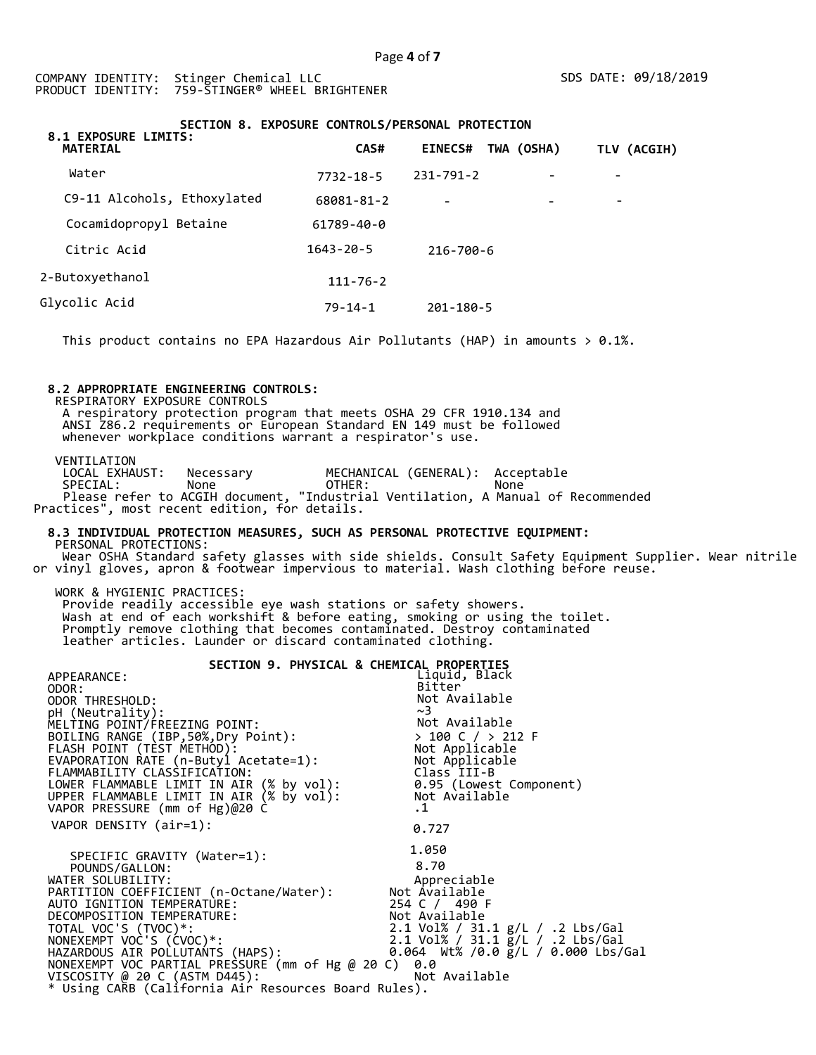# **SECTION 8. EXPOSURE CONTROLS/PERSONAL PROTECTION**

| 8.1 EXPOSURE LIMITS:<br><b>MATERIAL</b> | CAS#            | TWA (OSHA)<br><b>EINECS#</b> | TLV (ACGIH) |
|-----------------------------------------|-----------------|------------------------------|-------------|
| Water                                   | $7732 - 18 - 5$ | $231 - 791 - 2$              |             |
| C9-11 Alcohols, Ethoxylated             | 68081-81-2      | $\overline{\phantom{a}}$     | ۰           |
| Cocamidopropyl Betaine                  | 61789-40-0      |                              |             |
| Citric Acid                             | $1643 - 20 - 5$ | $216 - 700 - 6$              |             |
| 2-Butoxyethanol                         | $111 - 76 - 2$  |                              |             |
| Glycolic Acid                           | $79 - 14 - 1$   | $201 - 180 - 5$              |             |

This product contains no EPA Hazardous Air Pollutants (HAP) in amounts  $> 0.1\%$ .

# **8.2 APPROPRIATE ENGINEERING CONTROLS:**

RESPIRATORY EXPOSURE CONTROLS A respiratory protection program that meets OSHA 29 CFR 1910.134 and ANSI Z86.2 requirements or European Standard EN 149 must be followed whenever workplace conditions warrant a respirator's use.

VENTILATION<br>LOCAL EXHAUST: LOCAL EXHAUST: Necessary MECHANICAL (GENERAL): Acceptable SPECIAL: None OTHER: None Please refer to ACGIH document, "Industrial Ventilation, A Manual of Recommended Practices", most recent edition, for details.

## **8.3 INDIVIDUAL PROTECTION MEASURES, SUCH AS PERSONAL PROTECTIVE EQUIPMENT:**  PERSONAL PROTECTIONS:

 Wear OSHA Standard safety glasses with side shields. Consult Safety Equipment Supplier. Wear nitrile or vinyl gloves, apron & footwear impervious to material. Wash clothing before reuse.

WORK & HYGIENIC PRACTICES: Provide readily accessible eye wash stations or safety showers. Wash at end of each workshift & before eating, smoking or using the toilet. Promptly remove clothing that becomes contaminated. Destroy contaminated leather articles. Launder or discard contaminated clothing.

| SECTION 9. PHYSICAL & CHEMICAL PROPERTIES                           |                                      |
|---------------------------------------------------------------------|--------------------------------------|
| APPEARANCE:                                                         | Liquid, Black                        |
| ODOR:                                                               | Bitter                               |
| ODOR THRESHOLD:                                                     | Not Available                        |
| pH (Neutrality):                                                    | ~1                                   |
| MELTING POINT/FREEZING POINT:                                       |                                      |
| BOILING RANGE (IBP, 50%, Dry Point):                                | Not Available<br>> 100 C / > 212 F   |
|                                                                     | Not Applicable                       |
| FLASH POINT (TÈST METHOD):<br>EVAPORATION RATE (n-Butyl Acetate=1): | Not Applicable                       |
| FLAMMABILITY CLASSIFICATION:                                        | Class III-B                          |
| LOWER FLAMMABLE LIMIT IN AIR (% by vol):                            | 0.95 (Lowest Component)              |
| UPPER FLAMMABLE LIMIT IN AIR (% by vol):                            | Not Available                        |
| VAPOR PRESSURE (mm of Hg)@20 C                                      | $\cdot$ 1                            |
| VAPOR DENSITY (air=1):                                              |                                      |
|                                                                     | 0.727                                |
|                                                                     | 1.050                                |
| SPECIFIC GRAVITY (Water=1):                                         |                                      |
| POUNDS/GALLON:                                                      | 8.70                                 |
| WATER SOLUBILITY:                                                   | Appreciable                          |
| PARTITION COEFFICIENT (n-Octane/Water):                             | Not Available                        |
| AUTO IGNITION TEMPERATURE:                                          | 254 C / 490 F                        |
| DECOMPOSITION TEMPERATURE:                                          | Not Available                        |
| TOTAL VOC'S (TVOC)*:                                                | 2.1 Vol% / 31.1 g/L / .2 Lbs/Gal     |
| NONEXEMPT VOC'S (CVOC)*:                                            | 2.1 Vol% / 31.1 g/L / .2 Lbs/Gal     |
| HAZARDOUS AIR POLLUTANTS (HAPS):                                    | 0.064 Wt% /0.0 $g/L$ / 0.000 Lbs/Gal |
| NONEXEMPT VOC PARTIAL PRESSURE (mm of Hg @ 20 C)                    | 0.0                                  |
| VISCOSITY @ 20 C (ASTM D445):                                       | Not Available                        |
| * Using CARB (California Air Resources Board Rules).                |                                      |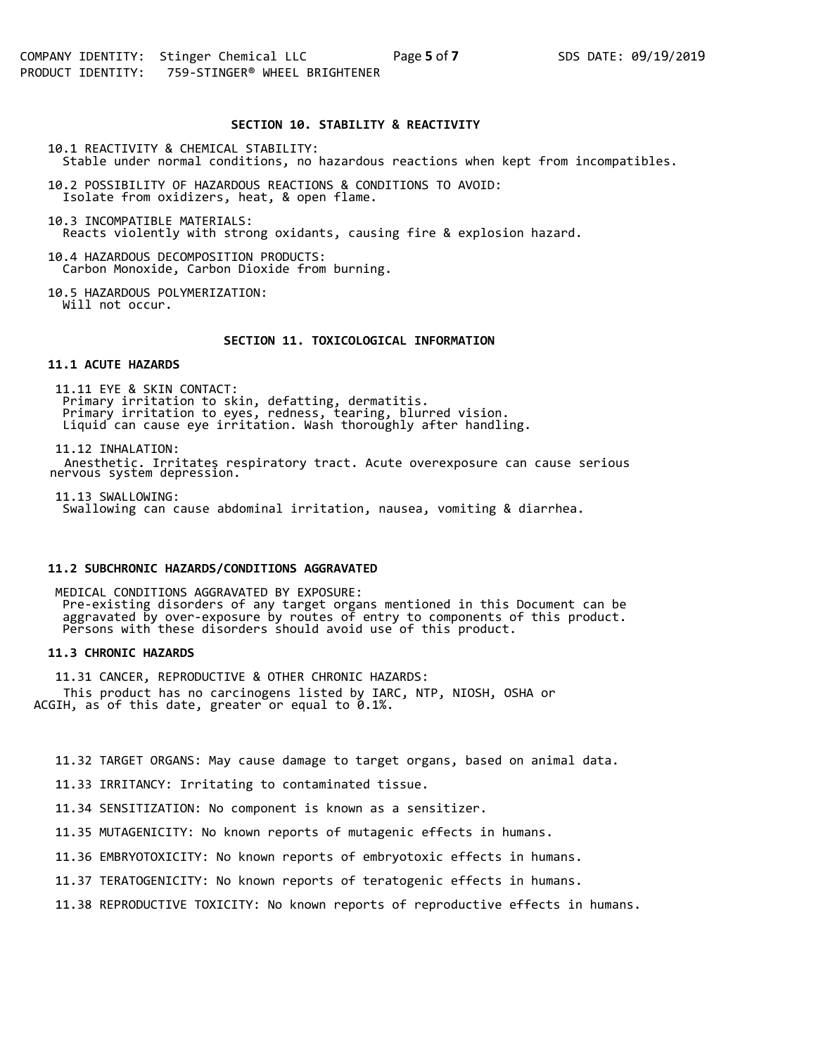# **SECTION 10. STABILITY & REACTIVITY**

10.1 REACTIVITY & CHEMICAL STABILITY:

Stable under normal conditions, no hazardous reactions when kept from incompatibles.

10.2 POSSIBILITY OF HAZARDOUS REACTIONS & CONDITIONS TO AVOID: Isolate from oxidizers, heat, & open flame.

10.3 INCOMPATIBLE MATERIALS: Reacts violently with strong oxidants, causing fire & explosion hazard.

10.4 HAZARDOUS DECOMPOSITION PRODUCTS: Carbon Monoxide, Carbon Dioxide from burning.

10.5 HAZARDOUS POLYMERIZATION: Will not occur.

# **SECTION 11. TOXICOLOGICAL INFORMATION**

## **11.1 ACUTE HAZARDS**

11.11 EYE & SKIN CONTACT: Primary irritation to skin, defatting, dermatitis. Primary irritation to eyes, redness, tearing, blurred vision. Liquid can cause eye irritation. Wash thoroughly after handling.

11.12 INHALATION: Anesthetic. Irritates respiratory tract. Acute overexposure can cause serious nervous system depression.

11.13 SWALLOWING: Swallowing can cause abdominal irritation, nausea, vomiting & diarrhea.

## **11.2 SUBCHRONIC HAZARDS/CONDITIONS AGGRAVATED**

MEDICAL CONDITIONS AGGRAVATED BY EXPOSURE: Pre-existing disorders of any target organs mentioned in this Document can be aggravated by over-exposure by routes of entry to components of this product. Persons with these disorders should avoid use of this product.

# **11.3 CHRONIC HAZARDS**

11.31 CANCER, REPRODUCTIVE & OTHER CHRONIC HAZARDS: This product has no carcinogens listed by IARC, NTP, NIOSH, OSHA or ACGIH, as of this date, greater or equal to 0.1%.

11.32 TARGET ORGANS: May cause damage to target organs, based on animal data.

11.33 IRRITANCY: Irritating to contaminated tissue.

11.34 SENSITIZATION: No component is known as a sensitizer.

11.35 MUTAGENICITY: No known reports of mutagenic effects in humans.

11.36 EMBRYOTOXICITY: No known reports of embryotoxic effects in humans.

11.37 TERATOGENICITY: No known reports of teratogenic effects in humans.

11.38 REPRODUCTIVE TOXICITY: No known reports of reproductive effects in humans.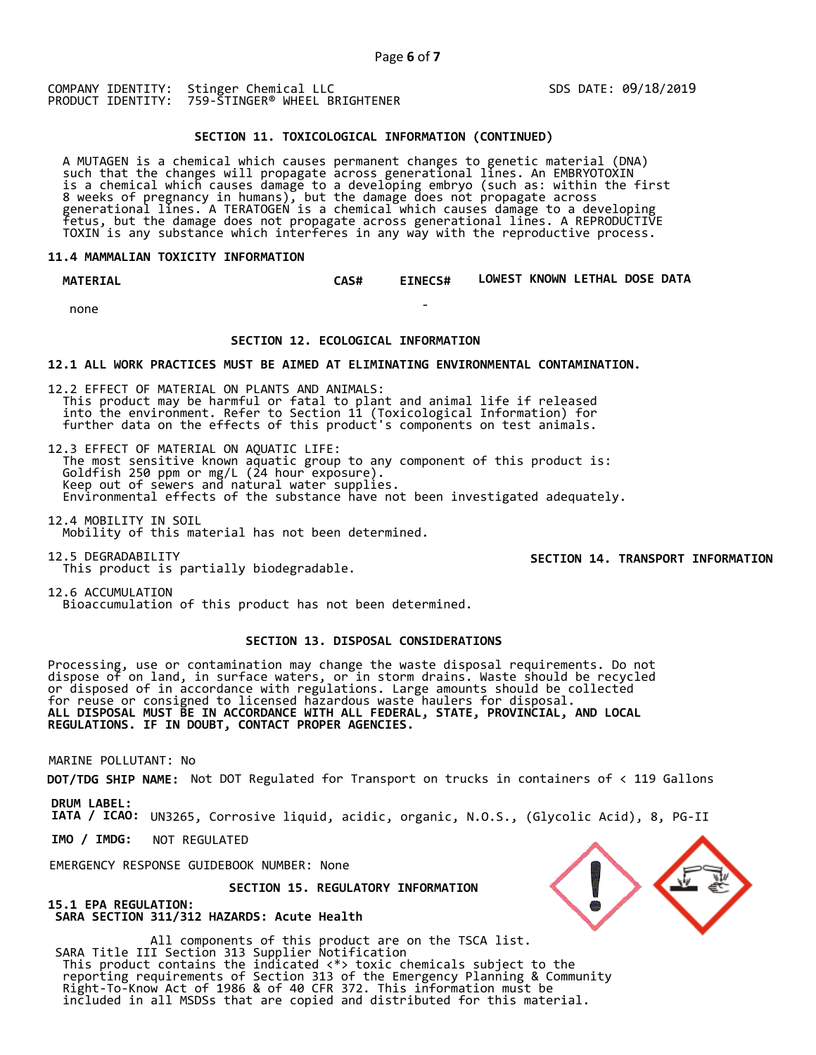$\sim$ 

COMPANY IDENTITY: Stinger Chemical LLC PRODUCT IDENTITY: 759-STINGER® WHEEL BRIGHTENER SDS DATE: 09/18/2019

# **SECTION 11. TOXICOLOGICAL INFORMATION (CONTINUED)**

A MUTAGEN is a chemical which causes permanent changes to genetic material (DNA)<br>such that the changes will propagate across generational lines. An EMBRYOTOXIN<br>is a chemical which causes damage to a developing embryo (such

# **11.4 MAMMALIAN TOXICITY INFORMATION**

 **MATERIAL CAS# EINECS# LOWEST KNOWN LETHAL DOSE DATA** 

none

# **SECTION 12. ECOLOGICAL INFORMATION**

## **12.1 ALL WORK PRACTICES MUST BE AIMED AT ELIMINATING ENVIRONMENTAL CONTAMINATION.**

12.2 EFFECT OF MATERIAL ON PLANTS AND ANIMALS: This product may be harmful or fatal to plant and animal life if released into the environment. Refer to Section 11 (Toxicological Information) for further data on the effects of this product's components on test animals.

12.3 EFFECT OF MATERIAL ON AQUATIC LIFE:<br>The most sensitive known aquatic group to any component of this product is: Goldfish 250 ppm or mg/L (24 hour exposure).<br>Keep out of sewers and natural water supplies.<br>Environmental effects of the substance have not been investigated adequately.

12.4 MOBILITY IN SOIL Mobility of this material has not been determined.

12.5 DEGRADABILITY This product is partially biodegradable.

**SECTION 14. TRANSPORT INFORMATION**

12.6 ACCUMULATION Bioaccumulation of this product has not been determined.

# **SECTION 13. DISPOSAL CONSIDERATIONS**

Processing, use or contamination may change the waste disposal requirements. Do not dispose of on land, in surface waters, or in storm drains. Waste should be recycled or disposed of in accordance with regulations. Large amounts should be collected for reuse or consigned to licensed hazardous waste haulers for disposal. **ALL DISPOSAL MUST BE IN ACCORDANCE WITH ALL FEDERAL, STATE, PROVINCIAL, AND LOCAL REGULATIONS. IF IN DOUBT, CONTACT PROPER AGENCIES.** 

MARINE POLLUTANT: No

**DOT/TDG SHIP NAME:** Not DOT Regulated for Transport on trucks in containers of < 119 Gallons

**DRUM LABEL:** 

**IATA / ICAO:** UN3265, Corrosive liquid, acidic, organic, N.O.S., (Glycolic Acid), 8, PG-II

**IMO / IMDG:**  NOT REGULATED

EMERGENCY RESPONSE GUIDEBOOK NUMBER: None

 **SECTION 15. REGULATORY INFORMATION** 

**15.1 EPA REGULATION: SARA SECTION 311/312 HAZARDS: Acute Health** 

All components of this product are on the TSCA list. SARA Title III Section 313 Supplier Notification This product contains the indicated <\*> toxic chemicals subject to the<br>reporting requirements of Section 313 of the Emergency Planning & Community<br>Right-To-Know Act of 1986 & of 40 CFR 372. This information must be<br>include

| EN. |
|-----|
|     |